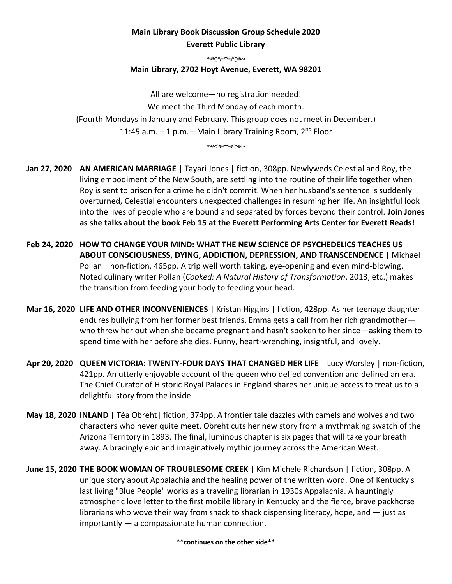## **Main Library Book Discussion Group Schedule 2020 Everett Public Library**

all Compos

## **Main Library, 2702 Hoyt Avenue, Everett, WA 98201**

All are welcome—no registration needed! We meet the Third Monday of each month. (Fourth Mondays in January and February. This group does not meet in December.) 11:45 a.m.  $-1$  p.m.  $-$  Main Library Training Room, 2<sup>nd</sup> Floor

all to you

**Jan 27, 2020 AN AMERICAN MARRIAGE** | Tayari Jones | fiction, 308pp. Newlyweds Celestial and Roy, the living embodiment of the New South, are settling into the routine of their life together when Roy is sent to prison for a crime he didn't commit. When her husband's sentence is suddenly overturned, Celestial encounters unexpected challenges in resuming her life. An insightful look into the lives of people who are bound and separated by forces beyond their control. **Join Jones as she talks about the book Feb 15 at the Everett Performing Arts Center for Everett Reads!**

- **Feb 24, 2020 HOW TO CHANGE YOUR MIND: WHAT THE NEW SCIENCE OF PSYCHEDELICS TEACHES US ABOUT CONSCIOUSNESS, DYING, ADDICTION, DEPRESSION, AND TRANSCENDENCE** | Michael Pollan | non-fiction, 465pp. A trip well worth taking, eye-opening and even mind-blowing. Noted culinary writer Pollan (*Cooked: A Natural History of Transformation*, 2013, etc.) makes the transition from feeding your body to feeding your head.
- **Mar 16, 2020 LIFE AND OTHER INCONVENIENCES** | Kristan Higgins | fiction, 428pp. As her teenage daughter endures bullying from her former best friends, Emma gets a call from her rich grandmotherwho threw her out when she became pregnant and hasn't spoken to her since—asking them to spend time with her before she dies. Funny, heart-wrenching, insightful, and lovely.
- **Apr 20, 2020 QUEEN VICTORIA: TWENTY-FOUR DAYS THAT CHANGED HER LIFE** | Lucy Worsley | non-fiction, 421pp. An utterly enjoyable account of the queen who defied convention and defined an era. The Chief Curator of Historic Royal Palaces in England shares her unique access to treat us to a delightful story from the inside.
- **May 18, 2020 INLAND** | Téa Obreht| fiction, 374pp. A frontier tale dazzles with camels and wolves and two characters who never quite meet. Obreht cuts her new story from a mythmaking swatch of the Arizona Territory in 1893. The final, luminous chapter is six pages that will take your breath away. A bracingly epic and imaginatively mythic journey across the American West.
- **June 15, 2020 THE BOOK WOMAN OF TROUBLESOME CREEK** | Kim Michele Richardson | fiction, 308pp. A unique story about Appalachia and the healing power of the written word. One of Kentucky's last living "Blue People" works as a traveling librarian in 1930s Appalachia. A hauntingly atmospheric love letter to the first mobile library in Kentucky and the fierce, brave packhorse librarians who wove their way from shack to shack dispensing literacy, hope, and  $-$  just as importantly — a compassionate human connection.

**\*\*continues on the other side\*\***